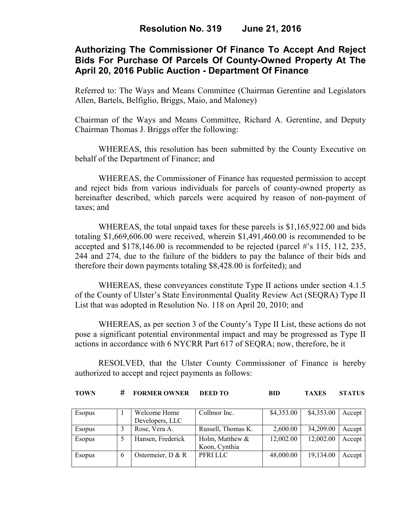### **Authorizing The Commissioner Of Finance To Accept And Reject Bids For Purchase Of Parcels Of County-Owned Property At The April 20, 2016 Public Auction - Department Of Finance**

Referred to: The Ways and Means Committee (Chairman Gerentine and Legislators Allen, Bartels, Belfiglio, Briggs, Maio, and Maloney)

Chairman of the Ways and Means Committee, Richard A. Gerentine, and Deputy Chairman Thomas J. Briggs offer the following:

WHEREAS, this resolution has been submitted by the County Executive on behalf of the Department of Finance; and

WHEREAS, the Commissioner of Finance has requested permission to accept and reject bids from various individuals for parcels of county-owned property as hereinafter described, which parcels were acquired by reason of non-payment of taxes; and

WHEREAS, the total unpaid taxes for these parcels is \$1,165,922.00 and bids totaling \$1,669,606.00 were received, wherein \$1,491,460.00 is recommended to be accepted and \$178,146.00 is recommended to be rejected (parcel #'s 115, 112, 235, 244 and 274, due to the failure of the bidders to pay the balance of their bids and therefore their down payments totaling \$8,428.00 is forfeited); and

WHEREAS, these conveyances constitute Type II actions under section 4.1.5 of the County of Ulster's State Environmental Quality Review Act (SEQRA) Type II List that was adopted in Resolution No. 118 on April 20, 2010; and

WHEREAS, as per section 3 of the County's Type II List, these actions do not pose a significant potential environmental impact and may be progressed as Type II actions in accordance with 6 NYCRR Part 617 of SEQRA; now, therefore, be it

RESOLVED, that the Ulster County Commissioner of Finance is hereby authorized to accept and reject payments as follows:

| # FORMER OWNER DEED TO<br><b>TOWN</b> | BID |  | <b>TAXES STATUS</b> |
|---------------------------------------|-----|--|---------------------|
|---------------------------------------|-----|--|---------------------|

| <b>Esopus</b> | Welcome Home        | Collmor Inc.       | \$4,353.00 | \$4,353.00 | Accept |
|---------------|---------------------|--------------------|------------|------------|--------|
|               | Developers, LLC     |                    |            |            |        |
| Esopus        | Rose, Vera A.       | Russell, Thomas K. | 2,600.00   | 34,209.00  | Accept |
| <b>Esopus</b> | Hansen, Frederick   | Holm, Matthew &    | 12,002.00  | 12,002.00  | Accept |
|               |                     | Koon, Cynthia      |            |            |        |
| <b>Esopus</b> | Ostermeier, $D & R$ | PFRILLC            | 48,000.00  | 19,134.00  | Accept |
|               |                     |                    |            |            |        |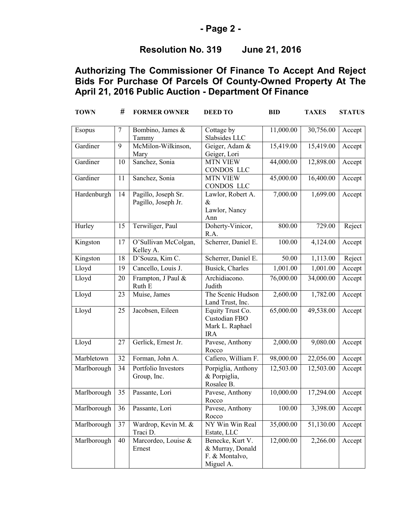### **- Page 2 -**

## **Resolution No. 319 June 21, 2016**

# **Authorizing The Commissioner Of Finance To Accept And Reject Bids For Purchase Of Parcels Of County-Owned Property At The April 21, 2016 Public Auction - Department Of Finance**

| <b>TOWN</b> | #      | <b>FORMER OWNER</b>                        | <b>DEED TO</b>                                                      | <b>BID</b>             | <b>TAXES</b>          | <b>STATUS</b> |
|-------------|--------|--------------------------------------------|---------------------------------------------------------------------|------------------------|-----------------------|---------------|
| Esopus      | $\tau$ | Bombino, James &<br>Tammy                  | Cottage by<br>Slabsides LLC                                         | 11,000.00              | 30,756.00             | Accept        |
| Gardiner    | 9      | McMilon-Wilkinson,<br>Mary                 | Geiger, Adam &<br>Geiger, Lori                                      | 15,419.00              | 15,419.00             | Accept        |
| Gardiner    | 10     | Sanchez, Sonia                             | <b>MTN VIEW</b><br>CONDOS LLC                                       | 44,000.00              | 12,898.00             | Accept        |
| Gardiner    | 11     | Sanchez, Sonia                             | <b>MTN VIEW</b><br><b>CONDOS LLC</b>                                | 45,000.00              | 16,400.00             | Accept        |
| Hardenburgh | 14     | Pagillo, Joseph Sr.<br>Pagillo, Joseph Jr. | Lawlor, Robert A.<br>$\&$<br>Lawlor, Nancy<br>Ann                   | 7,000.00               | 1,699.00              | Accept        |
| Hurley      | 15     | Terwiliger, Paul                           | Doherty-Vinicor,<br>R.A.                                            | 800.00                 | 729.00                | Reject        |
| Kingston    | 17     | O'Sullivan McColgan,<br>Kelley A.          | Scherrer, Daniel E.                                                 | 100.00                 | 4,124.00              | Accept        |
| Kingston    | 18     | D'Souza, Kim C.                            | Scherrer, Daniel E.                                                 | 50.00                  | $\overline{1,}113.00$ | Reject        |
| Lloyd       | 19     | Cancello, Louis J.                         | Busick, Charles                                                     | 1,001.00               | 1,001.00              | Accept        |
| Lloyd       | 20     | Frampton, J Paul &<br>Ruth E               | Archidiacono.<br>Judith                                             | $\overline{76,000.00}$ | 34,000.00             | Accept        |
| Lloyd       | 23     | Muise, James                               | The Scenic Hudson<br>Land Trust, Inc.                               | 2,600.00               | 1,782.00              | Accept        |
| Lloyd       | 25     | Jacobsen, Eileen                           | Equity Trust Co.<br>Custodian FBO<br>Mark L. Raphael<br><b>IRA</b>  | 65,000.00              | 49,538.00             | Accept        |
| Lloyd       | 27     | Gerlick, Ernest Jr.                        | Pavese, Anthony<br>Rocco                                            | 2,000.00               | 9,080.00              | Accept        |
| Marbletown  | 32     | Forman, John A.                            | Cafiero, William F.                                                 | 98,000.00              | 22,056.00             | Accept        |
| Marlborough | 34     | Portfolio Investors<br>Group, Inc.         | Porpiglia, Anthony<br>& Porpiglia,<br>Rosalee B.                    | 12,503.00              | 12,503.00             | Accept        |
| Marlborough | 35     | Passante, Lori                             | Pavese, Anthony<br>Rocco                                            | 10,000.00              | 17,294.00             | Accept        |
| Marlborough | 36     | Passante, Lori                             | Pavese, Anthony<br>Rocco                                            | 100.00                 | 3,398.00              | Accept        |
| Marlborough | 37     | Wardrop, Kevin M. &<br>Traci D.            | NY Win Win Real<br>Estate, LLC                                      | 35,000.00              | 51,130.00             | Accept        |
| Marlborough | 40     | Marcordeo, Louise &<br>Ernest              | Benecke, Kurt V.<br>& Murray, Donald<br>F. & Montalvo,<br>Miguel A. | 12,000.00              | 2,266.00              | Accept        |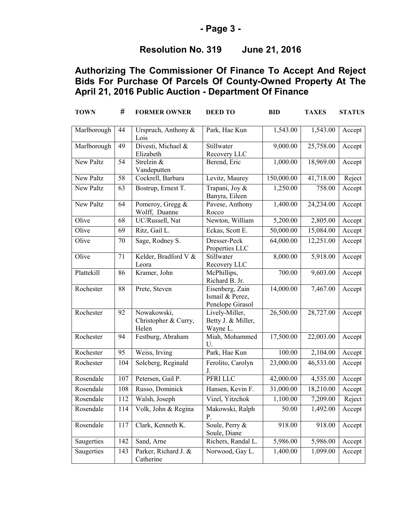### **- Page 3 -**

# **Resolution No. 319 June 21, 2016**

# **Authorizing The Commissioner Of Finance To Accept And Reject Bids For Purchase Of Parcels Of County-Owned Property At The April 21, 2016 Public Auction - Department Of Finance**

| <b>TOWN</b> | #   | <b>FORMER OWNER</b>                          | <b>DEED TO</b>                                         | <b>BID</b>             | <b>TAXES</b> | <b>STATUS</b> |
|-------------|-----|----------------------------------------------|--------------------------------------------------------|------------------------|--------------|---------------|
| Marlborough | 44  | Urspruch, Anthony &<br>Lois                  | Park, Hae Kun                                          | 1,543.00               | 1,543.00     | Accept        |
| Marlborough | 49  | Divesti, Michael &<br>Elizabeth              | Stillwater<br>Recovery LLC                             | 9,000.00               | 25,758.00    | Accept        |
| New Paltz   | 54  | Strelzin &<br>Vandeputten                    | Berend, Eric                                           | 1,000.00               | 18,969.00    | Accept        |
| New Paltz   | 58  | Cockrell, Barbara                            | Levitz, Maurey                                         | 150,000.00             | 41,718.00    | Reject        |
| New Paltz   | 63  | Bostrup, Ernest T.                           | Trapani, Joy &<br>Banyra, Eileen                       | 1,250.00               | 758.00       | Accept        |
| New Paltz   | 64  | Pomeroy, Gregg &<br>Wolff, Duanne            | Pavese, Anthony<br>Rocco                               | 1,400.00               | 24,234.00    | Accept        |
| Olive       | 68  | UC/Russell, Nat                              | Newton, William                                        | 5,200.00               | 2,805.00     | Accept        |
| Olive       | 69  | Ritz, Gail L.                                | Eckas, Scott E.                                        | $\overline{50,000.00}$ | 15,084.00    | Accept        |
| Olive       | 70  | Sage, Rodney S.                              | Dresser-Peck<br>Properties LLC                         | 64,000.00              | 12,251.00    | Accept        |
| Olive       | 71  | Kelder, Bradford V &<br>Leora                | Stillwater<br>Recovery LLC                             | 8,000.00               | 5,918.00     | Accept        |
| Plattekill  | 86  | Kramer, John                                 | McPhillips,<br>Richard B. Jr.                          | 700.00                 | 9,603.00     | Accept        |
| Rochester   | 88  | Prete, Steven                                | Eisenberg, Zain<br>Ismail & Perez,<br>Penelope Girasol | 14,000.00              | 7,467.00     | Accept        |
| Rochester   | 92  | Nowakowski,<br>Christopher & Curry,<br>Helen | Lively-Miller,<br>Betty J. & Miller,<br>Wayne L.       | 26,500.00              | 28,727.00    | Accept        |
| Rochester   | 94  | Festburg, Abraham                            | Miah, Mohammed<br>U.                                   | 17,500.00              | 22,003.00    | Accept        |
| Rochester   | 95  | Weiss, Irving                                | Park, Hae Kun                                          | 100.00                 | 2,104.00     | Accept        |
| Rochester   | 104 | Solcberg, Reginald                           | Ferolito, Carolyn<br>J.                                | 23,000.00              | 46,533.00    | Accept        |
| Rosendale   | 107 | Petersen, Gail P.                            | PFRI LLC                                               | 42,000.00              | 4,535.00     | Accept        |
| Rosendale   | 108 | Russo, Dominick                              | Hansen, Kevin F.                                       | 31,000.00              | 18,210.00    | Accept        |
| Rosendale   | 112 | Walsh, Joseph                                | Vizel, Yitzchok                                        | 1,100.00               | 7,209.00     | Reject        |
| Rosendale   | 114 | Volk, John & Regina                          | Makowski, Ralph<br>P.                                  | 50.00                  | 1,492.00     | Accept        |
| Rosendale   | 117 | Clark, Kenneth K.                            | Soule, Perry &<br>Soule, Diane                         | 918.00                 | 918.00       | Accept        |
| Saugerties  | 142 | Sand, Arne                                   | Richers, Randal L.                                     | 5,986.00               | 5,986.00     | Accept        |
| Saugerties  | 143 | Parker, Richard J. &<br>Catherine            | Norwood, Gay L.                                        | 1,400.00               | 1,099.00     | Accept        |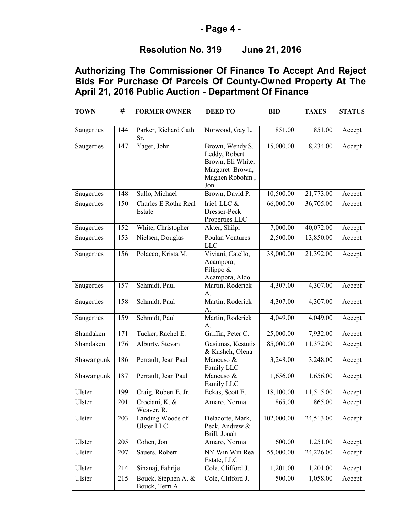### **- Page 4 -**

### **Resolution No. 319 June 21, 2016**

# **Authorizing The Commissioner Of Finance To Accept And Reject Bids For Purchase Of Parcels Of County-Owned Property At The April 21, 2016 Public Auction - Department Of Finance**

| <b>TOWN</b> | #   | <b>FORMER OWNER</b>                    | <b>DEED TO</b>                                                                                    | <b>BID</b> | <b>TAXES</b> | <b>STATUS</b> |
|-------------|-----|----------------------------------------|---------------------------------------------------------------------------------------------------|------------|--------------|---------------|
| Saugerties  | 144 | Parker, Richard Cath<br>Sr.            | Norwood, Gay L.                                                                                   | 851.00     | 851.00       | Accept        |
| Saugerties  | 147 | Yager, John                            | Brown, Wendy S.<br>Leddy, Robert<br>Brown, Eli White,<br>Margaret Brown,<br>Maghen Robohm,<br>Jon | 15,000.00  | 8,234.00     | Accept        |
| Saugerties  | 148 | Sullo, Michael                         | Brown, David P.                                                                                   | 10,500.00  | 21,773.00    | Accept        |
| Saugerties  | 150 | <b>Charles E Rothe Real</b><br>Estate  | Iriel LLC &<br>Dresser-Peck<br>Properties LLC                                                     | 66,000.00  | 36,705.00    | Accept        |
| Saugerties  | 152 | White, Christopher                     | Akter, Shilpi                                                                                     | 7,000.00   | 40,072.00    | Accept        |
| Saugerties  | 153 | Nielsen, Douglas                       | <b>Poulan Ventures</b><br><b>LLC</b>                                                              | 2,500.00   | 13,850.00    | Accept        |
| Saugerties  | 156 | Polacco, Krista M.                     | Viviani, Catello,<br>Acampora,<br>Filippo &<br>Acampora, Aldo                                     | 38,000.00  | 21,392.00    | Accept        |
| Saugerties  | 157 | Schmidt, Paul                          | Martin, Roderick<br>A.                                                                            | 4,307.00   | 4,307.00     | Accept        |
| Saugerties  | 158 | Schmidt, Paul                          | Martin, Roderick<br>A.                                                                            | 4,307.00   | 4,307.00     | Accept        |
| Saugerties  | 159 | Schmidt, Paul                          | Martin, Roderick<br>A.                                                                            | 4,049.00   | 4,049.00     | Accept        |
| Shandaken   | 171 | Tucker, Rachel E.                      | Griffin, Peter C.                                                                                 | 25,000.00  | 7,932.00     | Accept        |
| Shandaken   | 176 | Alburty, Stevan                        | Gasiunas, Kestutis<br>& Kushch, Olena                                                             | 85,000.00  | 11,372.00    | Accept        |
| Shawangunk  | 186 | Perrault, Jean Paul                    | Mancuso &<br>Family LLC                                                                           | 3,248.00   | 3,248.00     | Accept        |
| Shawangunk  | 187 | Perrault, Jean Paul                    | Mancuso &<br>Family LLC                                                                           | 1,656.00   | 1,656.00     | Accept        |
| Ulster      | 199 | Craig, Robert E. Jr.                   | Eckas, Scott E.                                                                                   | 18,100.00  | 11,515.00    | Accept        |
| Ulster      | 201 | Crociani, K. &<br>Weaver, R.           | Amaro, Norma                                                                                      | 865.00     | 865.00       | Accept        |
| Ulster      | 203 | Landing Woods of<br>Ulster LLC         | Delacorte, Mark,<br>Peck, Andrew &<br>Brill, Jonah                                                | 102,000.00 | 24,513.00    | Accept        |
| Ulster      | 205 | Cohen, Jon                             | Amaro, Norma                                                                                      | 600.00     | 1,251.00     | Accept        |
| Ulster      | 207 | Sauers, Robert                         | NY Win Win Real<br>Estate, LLC                                                                    | 55,000.00  | 24,226.00    | Accept        |
| Ulster      | 214 | Sinanaj, Fahrije                       | Cole, Clifford J.                                                                                 | 1,201.00   | 1,201.00     | Accept        |
| Ulster      | 215 | Bouck, Stephen A. &<br>Bouck, Terri A. | Cole, Clifford J.                                                                                 | 500.00     | 1,058.00     | Accept        |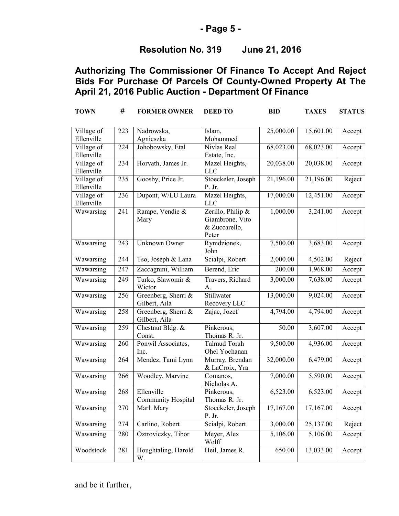#### **- Page 5 -**

# **Resolution No. 319 June 21, 2016**

# **Authorizing The Commissioner Of Finance To Accept And Reject Bids For Purchase Of Parcels Of County-Owned Property At The April 21, 2016 Public Auction - Department Of Finance**

| <b>TOWN</b>              | #   | <b>FORMER OWNER</b>                     | <b>DEED TO</b>                                                 | <b>BID</b>            | <b>TAXES</b> | <b>STATUS</b> |
|--------------------------|-----|-----------------------------------------|----------------------------------------------------------------|-----------------------|--------------|---------------|
| Village of<br>Ellenville | 223 | Nadrowska,<br>Agnieszka                 | Islam,<br>Mohammed                                             | 25,000.00             | 15,601.00    | Accept        |
| Village of<br>Ellenville | 224 | Johobowsky, Etal                        | Nivlas Real<br>Estate, Inc.                                    | 68,023.00             | 68,023.00    | Accept        |
| Village of<br>Ellenville | 234 | Horvath, James Jr.                      | Mazel Heights,<br><b>LLC</b>                                   | 20,038.00             | 20,038.00    | Accept        |
| Village of<br>Ellenville | 235 | Goosby, Price Jr.                       | Stoeckeler, Joseph<br>P. Jr.                                   | 21,196.00             | 21,196.00    | Reject        |
| Village of<br>Ellenville | 236 | Dupont, W/LU Laura                      | Mazel Heights,<br><b>LLC</b>                                   | 17,000.00             | 12,451.00    | Accept        |
| Wawarsing                | 241 | Rampe, Vendie &<br>Mary                 | Zerillo, Philip &<br>Giambrone, Vito<br>& Zuccarello,<br>Peter | 1,000.00              | 3,241.00     | Accept        |
| Wawarsing                | 243 | Unknown Owner                           | Rymdzionek,<br>John                                            | 7,500.00              | 3,683.00     | Accept        |
| Wawarsing                | 244 | Tso, Joseph & Lana                      | Scialpi, Robert                                                | 2,000.00              | 4,502.00     | Reject        |
| Wawarsing                | 247 | Zaccagnini, William                     | Berend, Eric                                                   | 200.00                | 1,968.00     | Accept        |
| Wawarsing                | 249 | Turko, Slawomir &<br>Wictor             | Travers, Richard<br>A.                                         | 3,000.00              | 7,638.00     | Accept        |
| Wawarsing                | 256 | Greenberg, Sherri &<br>Gilbert, Aila    | Stillwater<br>Recovery LLC                                     | 13,000.00             | 9,024.00     | Accept        |
| Wawarsing                | 258 | Greenberg, Sherri &<br>Gilbert, Aila    | Zajac, Jozef                                                   | 4,794.00              | 4,794.00     | Accept        |
| Wawarsing                | 259 | Chestnut Bldg. &<br>Const.              | Pinkerous,<br>Thomas R. Jr.                                    | 50.00                 | 3,607.00     | Accept        |
| Wawarsing                | 260 | Ponwil Associates,<br>Inc.              | <b>Talmud Torah</b><br>Ohel Yochanan                           | 9,500.00              | 4,936.00     | Accept        |
| Wawarsing                | 264 | Mendez, Tami Lynn                       | Murray, Brendan<br>& LaCroix, Yra                              | 32,000.00             | 6,479.00     | Accept        |
| Wawarsing                | 266 | Woodley, Marvine                        | Comanos,<br>Nicholas A.                                        | 7,000.00              | 5,590.00     | Accept        |
| Wawarsing                | 268 | Ellenville<br><b>Community Hospital</b> | Pinkerous,<br>Thomas R. Jr.                                    | $\overline{6,52}3.00$ | 6,523.00     | Accept        |
| Wawarsing                | 270 | Marl. Mary                              | Stoeckeler, Joseph<br>P. Jr.                                   | 17,167.00             | 17,167.00    | Accept        |
| Wawarsing                | 274 | Carlino, Robert                         | Scialpi, Robert                                                | 3,000.00              | 25,137.00    | Reject        |
| Wawarsing                | 280 | Oztroviczky, Tibor                      | Meyer, Alex<br>Wolff                                           | 5,106.00              | 5,106.00     | Accept        |
| Woodstock                | 281 | Houghtaling, Harold<br>W.               | Heil, James R.                                                 | 650.00                | 13,033.00    | Accept        |

and be it further,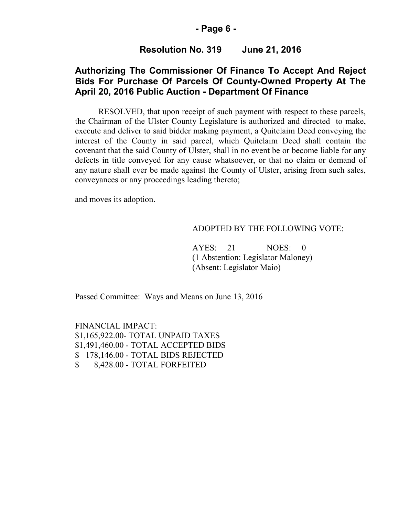#### **- Page 6 -**

### **Resolution No. 319 June 21, 2016**

### **Authorizing The Commissioner Of Finance To Accept And Reject Bids For Purchase Of Parcels Of County-Owned Property At The April 20, 2016 Public Auction - Department Of Finance**

RESOLVED, that upon receipt of such payment with respect to these parcels, the Chairman of the Ulster County Legislature is authorized and directed to make, execute and deliver to said bidder making payment, a Quitclaim Deed conveying the interest of the County in said parcel, which Quitclaim Deed shall contain the covenant that the said County of Ulster, shall in no event be or become liable for any defects in title conveyed for any cause whatsoever, or that no claim or demand of any nature shall ever be made against the County of Ulster, arising from such sales, conveyances or any proceedings leading thereto;

and moves its adoption.

#### ADOPTED BY THE FOLLOWING VOTE:

AYES: 21 NOES: 0 (1 Abstention: Legislator Maloney) (Absent: Legislator Maio)

Passed Committee: Ways and Means on June 13, 2016

FINANCIAL IMPACT: \$1,165,922.00- TOTAL UNPAID TAXES \$1,491,460.00 - TOTAL ACCEPTED BIDS \$ 178,146.00 - TOTAL BIDS REJECTED \$ 8,428.00 - TOTAL FORFEITED